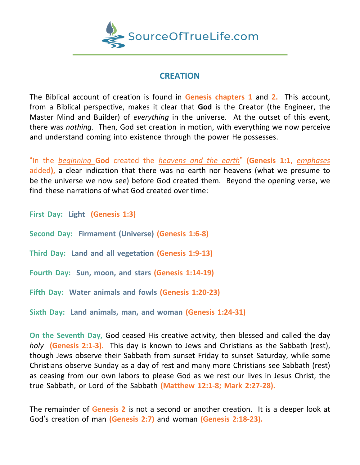

# **CREATION**

The Biblical account of creation is found in **Genesis chapters 1** and **2.** This account, from a Biblical perspective, makes it clear that **God** is the Creator (the Engineer, the Master Mind and Builder) of *everything* in the universe. At the outset of this event, there was *nothing.* Then, God set creation in motion, with everything we now perceive and understand coming into existence through the power He possesses.

"In the *beginning* **God** created the *heavens and the earth*" **(Genesis 1:1,** *emphases* added**),** a clear indication that there was no earth nor heavens (what we presume to be the universe we now see) before God created them. Beyond the opening verse, we find these narrations of what God created over time:

**First Day: Light (Genesis 1:3)**

**Second Day: Firmament (Universe) (Genesis 1:6-8)**

**Third Day: Land and all vegetation (Genesis 1:9-13)**

**Fourth Day: Sun, moon, and stars (Genesis 1:14-19)**

**Fifth Day: Water animals and fowls (Genesis 1:20-23)**

**Sixth Day: Land animals, man, and woman (Genesis 1:24-31)**

**On the Seventh Day,** God ceased His creative activity, then blessed and called the day *holy* **(Genesis 2:1-3).** This day is known to Jews and Christians as the Sabbath (rest), though Jews observe their Sabbath from sunset Friday to sunset Saturday, while some Christians observe Sunday as a day of rest and many more Christians see Sabbath (rest) as ceasing from our own labors to please God as we rest our lives in Jesus Christ, the true Sabbath, or Lord of the Sabbath **(Matthew 12:1-8; Mark 2:27-28).**

The remainder of **Genesis 2** is not a second or another creation. It is a deeper look at God's creation of man **(Genesis 2:7)** and woman **(Genesis 2:18-23).**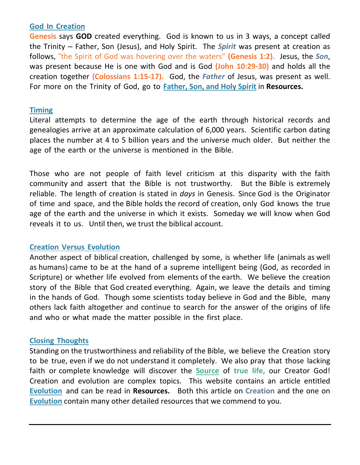### **God In Creation**

**Genesis** says **GOD** created everything. God is known to us in 3 ways, a concept called the Trinity – Father, Son (Jesus), and Holy Spirit. The *Spirit* was present at creation as follows, "the Spirit of God was hovering over the waters" **(Genesis 1:2).** Jesus, the *Son*, was present because He is one with God and is God **(John 10:29-30)** and holds all the creation together **(Colossians 1:15-17).** God, the *Father* of Jesus, was present as well. For more on the Trinity of God, go to **Father, Son, and Holy Spirit** in **Resources.**

## **Timing**

Literal attempts to determine the age of the earth through historical records and genealogies arrive at an approximate calculation of 6,000 years. Scientific carbon dating places the number at 4 to 5 billion years and the universe much older. But neither the age of the earth or the universe is mentioned in the Bible.

Those who are not people of faith level criticism at this disparity with the faith community and assert that the Bible is not trustworthy. But the Bible is extremely reliable. The length of creation is stated in *days* in Genesis. Since God is the Originator of time and space, and the Bible holds the record of creation, only God knows the true age of the earth and the universe in which it exists. Someday we will know when God reveals it to us. Until then, we trust the biblical account.

### **Creation Versus Evolution**

Another aspect of biblical creation, challenged by some, is whether life (animals as well as humans) came to be at the hand of a supreme intelligent being (God, as recorded in Scripture) or whether life evolved from elements of the earth. We believe the creation story of the Bible that God created everything. Again, we leave the details and timing in the hands of God. Though some scientists today believe in God and the Bible, many others lack faith altogether and continue to search for the answer of the origins of life and who or what made the matter possible in the first place.

## **Closing Thoughts**

Standing on the trustworthiness and reliability of the Bible, we believe the Creation story to be true, even if we do not understand it completely. We also pray that those lacking faith or complete knowledge will discover the **Source** of **true life,** our Creator God! Creation and evolution are complex topics. This website contains an article entitled **Evolution** and can be read in **Resources.** Both this article on **Creation** and the one on **Evolution** contain many other detailed resources that we commend to you.